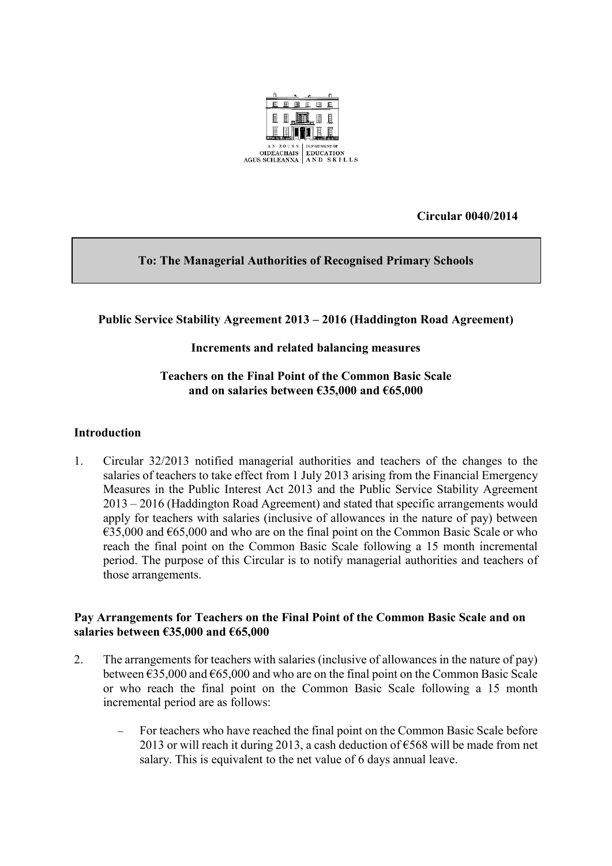

**Circular 0040/2014**

# **To: The Managerial Authorities of Recognised Primary Schools**

## **Public Service Stability Agreement 2013 – 2016 (Haddington Road Agreement)**

### **Increments and related balancing measures**

### **Teachers on the Final Point of the Common Basic Scale and on salaries between €35,000 and €65,000**

#### **Introduction**

1. Circular 32/2013 notified managerial authorities and teachers of the changes to the salaries of teachers to take effect from 1 July 2013 arising from the Financial Emergency Measures in the Public Interest Act 2013 and the Public Service Stability Agreement 2013 – 2016 (Haddington Road Agreement) and stated that specific arrangements would apply for teachers with salaries (inclusive of allowances in the nature of pay) between  $\epsilon$ 35,000 and  $\epsilon$ 65,000 and who are on the final point on the Common Basic Scale or who reach the final point on the Common Basic Scale following a 15 month incremental period. The purpose of this Circular is to notify managerial authorities and teachers of those arrangements.

#### **Pay Arrangements for Teachers on the Final Point of the Common Basic Scale and on salaries between €35,000 and €65,000**

- 2. The arrangements for teachers with salaries (inclusive of allowances in the nature of pay) between  $635,000$  and  $665,000$  and who are on the final point on the Common Basic Scale or who reach the final point on the Common Basic Scale following a 15 month incremental period are as follows:
	- For teachers who have reached the final point on the Common Basic Scale before 2013 or will reach it during 2013, a cash deduction of  $\epsilon$ 568 will be made from net salary. This is equivalent to the net value of 6 days annual leave.